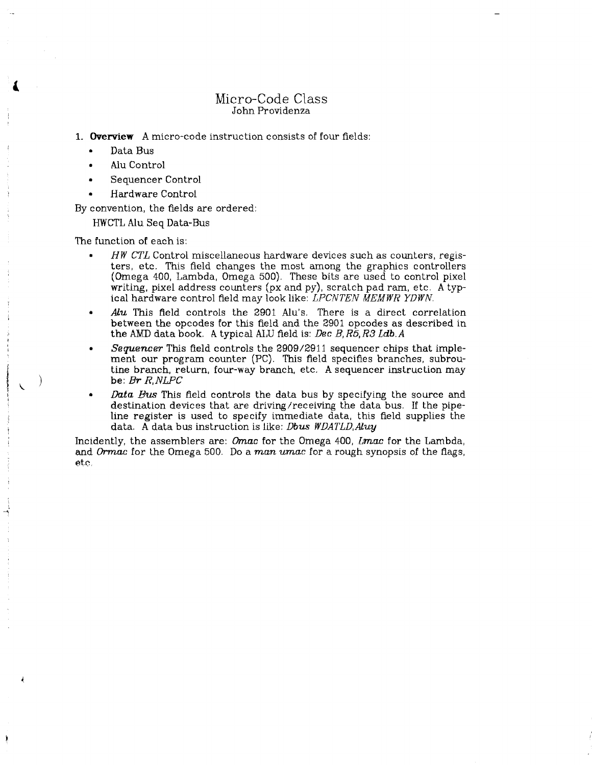# Micro-Code Class John Providenza

**1. Overview** A micro-code instruction consists of four fields:

- Data Bus
- Alu Control
- Sequencer Control
- Hardware Control

By convention, the fields are ordered:

HWCTL Alu Seq Data-Bus

The function of each is:

- *HW CTL* Control miscellaneous hardware devices such as counters, registers, etc. This field changes the most among the graphics controllers (Omega 400, Lambda, Omega 500). These bits are used to control pixel writing, pixel address counters (px and py), scratch pad ram, etc. A typical hardware control field may look like: *LPCNTEN MEMWR YDWN.*
- Alu This field controls the 2901 Alu's. There is a direct correlation between the opcodes for this field and the 2901 opcodes as described in the AMD data book, *k* typical ALU field is: *Dec B, R5<sup>t</sup> R3 Ldb.A*
- *Sequencer* This field controls the 2909/2911 sequencer chips that implement our program counter (PC). This field specifies branches, subroutine branch, return, four-way branch, etc. A sequencer instruction may be: *Br R,NLPC*
- *Data Bits* This field controls the data bus by specifying the source and destination devices that are driving/receiving the data bus. If the pipeline register is used to specify immediate data, this field supplies the data. A data bus instruction is like: *Dbus WDATLD,Alvy*

Incidently, the assemblers are: *Omac* for the Omega 400, *Lmac* for the Lambda, and *Ormac* for the Omega 500. Do a man umac for a rough synopsis of the flags, etc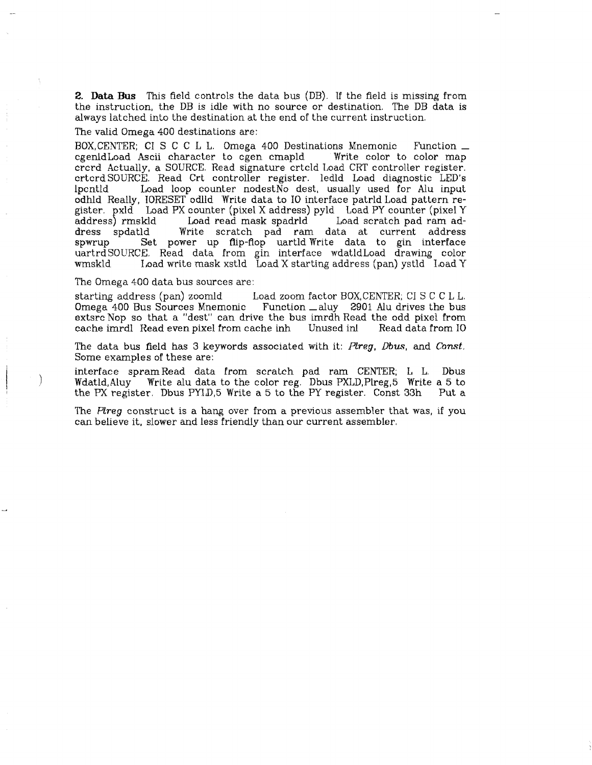**2. Data Bus** This field controls the data bus (DB). If the field is missing from the instruction, the DB is idle with no source or destination. The DB data is always latched into the destination at the end of the current instruction,

The valid Omega 400 destinations are:

BOX,CENTER; CI S C C L L. Omega 400 Destinations Mnemonic Function  $\perp$  cgenidLoad Ascii character to egen cmapld Write color to color map cgenldLoad Ascii character to cgen cmapld crcrd Actually, a SOURCE. Read signature crtcld Load CRT controller register, crtcrd SOURCE. Read Crt controller register, ledld Load diagnostic LED's Ipcntld Load loop counter nodestNo dest, usually used for Alu input odhld Really, IORESET odlld Write data to 10 interface patrld Load pattern register. pxld Load PX counter (pixel X address) pyld Load PY counter (pixel Y address) rmskld Load read mask spadrld Load scratch pad ram adaddress) rmskld Load read mask spadrld Load scratch pad ram ad-Write scratch pad ram data at current address spwrup Set power up flip-flop uartld Write data to gin interface uartrdSOURCE, Read data from gin interface wdatldLoad drawing color wmskld Load write mask xstld Load X starting address (pan) ystld Load Y

The Omega 400 data bus sources are:

starting address (pan) zoomld Load zoom factor BOX,CENTER; CI S C C L L. Omega 400 Bus Sources Mnemonic Function \_ aluy 2901 Alu drives the bus extsrc Nop so that a "dest" can drive the bus imrdh Read the odd pixel from cache imrdl Read even pixel from cache inh Unused inl Read data from. 10

The data bus field has 3 keywords associated with it: *Plreg, Dbus,* and *Const.*  Some examples of these are:

interface spramRead data from scratch pad ram CENTER; L L. Dbus Wdatld,Aluy Write alu data to the color reg. Dbus PXLD,Plreg,5 Write a 5 to the PX register. Dbus PYLD,5 Write a 5 to the PY register. Const 33h Put a

The *Flreg* construct is a hang over from a previous assembler that was, if you can believe it, slower and less friendly than our current assembler,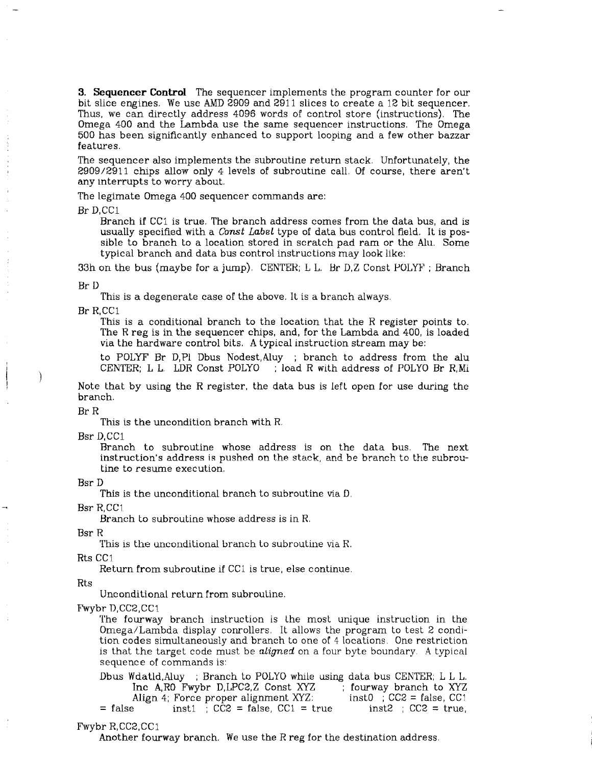**3. Sequencer Control** The sequencer implements the program counter for our bit slice engines. We use AMD 2909 and 2911 slices to create a 12 bit sequencer. Thus, we can directly address 4096 words of control store (instructions), The Omega 400 and the Lambda use the same sequencer instructions. The Omega 500 has been significantly enhanced to support looping and a few other bazzar features.

The sequencer also implements the subroutine return stack, Unfortunately, the 2909/2911 chips allow only 4- levels of subroutine call. Of course, there aren't any interrupts to worry about.

The legimate Omega 400 sequencer commands are:

Br D.CC1

Branch if CC1 is true. The branch address comes from the data bus, and is usually specified with a *Const Label* type of data bus control field. It is possible to branch to a location stored in scratch pad ram or the Alu. Some typical branch and data bus control instructions may look like:

33h on the bus (maybe for a jump), CENTER; L L. Br D,Z Const POLYF ; Branch

Br D

This is a degenerate case of the above. It is a branch always.<br>Br R,CC1

This is a conditional branch to the location that the R register points to. The R reg is in the sequencer chips, and, for the Lambda and 400, is loaded via the hardware control bits. A typical instruction stream may be: via the hardware control bits,  $A \cup A$  the stream may be:

to POLYF Br D,P1 Dbus Nodest,Aluy ; branch to address from the alu CENTER; L L LDR Const POLYO ; load R with address of POLYO Br R,Mi

Note that by using the R register, the data bus is left open for use during the branch.

Br R

This is the uncondition branch with R.

Bsr D.CC1

Branch to subroutine whose address is on the data bus. The next instruction's address is pushed on the stack, and be branch to the subroutine to resume execution.

Bsr D

This is the unconditional branch to subroutine via D,

Bsr R,CC1

Branch to subroutine whose address is in R.

Bsr R

This is the unconditional branch to subroutine via R.<br>Rts CC1

Return from subroutine if CC1 is true, else continue.

Rts

Unconditional return from subroutine.

Fwybr D,CC2,CC1

The fourway branch instruction is the most unique instruction in the Omega/Lambda display conrollers. It allows the program to test 2 condition codes simultaneously and branch to one of 4 locations. One restriction is that the target code must be *aligned* on a four byte boundary. A typical sequence of commands is:

Dbus Wdatld.Aluy ; Branch to POLYO while using data bus CENTER; L L L. Inc A,R0 Fwybr D,LPC2,Z Const XYZ ; fourway branch to XYZ<br>Align 4; Force proper alignment XYZ: inst0 ; CC2 = false, CC1 Align 4; Force proper alignment XYZ.  $=$  false inst1 ; CC2 = false, CC1 = true inst2 ; CC2 = true,

#### Fwybr R,CC2,CC1

Another fourway branch. We use the R reg for the destination address.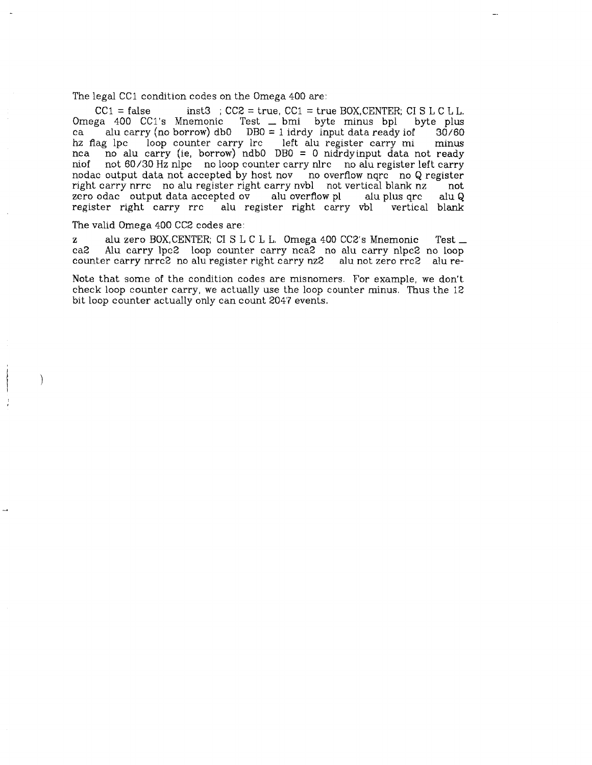The legal CC1 condition codes on the Omega 400 are:

 $CC1 = false$  inst3 ;  $CC2 = true$ ,  $CC1 = true$  BOX, CENTER; CI S L C L L. Omega 400 CCl's Mnemonic Test \_ bmi byte minus bpl byte plus ca alu carry (no borrow) dbO DBO = 1 idrdy input data ready iof 30/60 hz flag lpc loop counter carry lrc left alu register carry mi minus nea no alu carry (ie. borrow) ndb0 DB0 = 0 nidrdvinput data not ready nca no alu carry (ie, borrow) ndb0 DB0 = 0 nidrdyinput data not ready<br>niof not 60/30 Hz nlpc no loop counter carry nlrc no alu register left carry not 60/30 Hz nlpc no loop counter carry nlrc no alu register left carry nodac output data not accepted by host nov no overflow nqrc no Q register right carry nrrc no alu register right carry nvbl not vertical blank nz not zero odac output data accepted ov alu overflow pl alu plus qrc alu Q<br>register right carry rrc alu register right carry vbl vertical blank alu register right carry vbl vertical blank

## The valid Omega 400 CC2 codes are:

 $\mathcal{E}$ 

z alu zero BOX,CENTER; CI S L C L L. Omega 400 CC2's Mnemonic Test \_<br>ca2 Alu carry lpc2 loop counter carry nea2 no alu carry nlpc2 no loop Alu carry lpc2 loop counter carry nca2 no alu carry nlpc2 no loop counter carry nrrc2 no alu register right carry nz2 alu not zero rrc2 alu re-

Note that some of the condition codes are misnomers. For example, we don't check loop counter carry, we actually use the loop counter minus. Thus the 12 bit loop counter actually only can count 2047 events.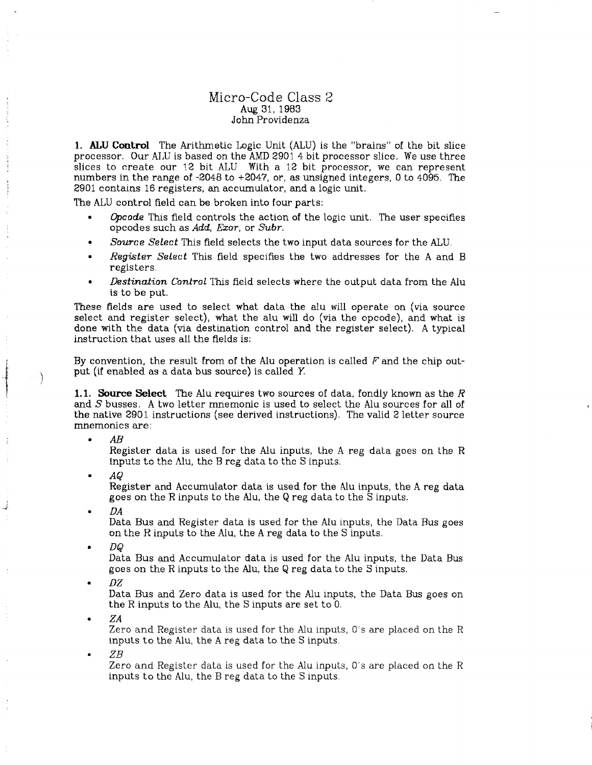## Micro-Code Class *2*  Aug 31, 1983 John Providenza

**1. ALU Control** The Arithmetic Logic Unit (ALU) is the "brains" of the bit slice processor. Our ALU is based on the AMD 2901 4 bit processor slice. We use three slices to create our 12 bit ALU With a 12 bit processor, we can represent numbers in the range of -2048 to +2047, or, as unsigned integers, 0 to 4095. The 2901 contains 16 registers, an accumulator, and a logic unit.

The ALU control field can be broken into four parts:

- *Opcode* This field controls the action of the logic unit. The user specifies opcodes such as *Add, Exor*, or *Subr,*
- *Source Select* This field selects the two input data sources for the ALU.
- *Register Select* This field specifies the two addresses for the A and B registers.
- *Destination Control* This field selects where the output data from the Alu is to be put.

These fields are used to select what data the alu will operate on (via source select and register select), what the alu will do (via the opcode), and what is done with the data (via destination control and the register select). A typical instruction that uses ail the fields is:

By convention, the result from of the Alu operation is called *F* and the chip output (if enabled as a data bus source) is called *Y.* 

**1.1. Source Select** The Alu requires two sources of data, fondly known as the *R*  and *S* busses. A two letter mnemonic is used to select the Alu sources for all of the native 2901 instructions (see derived instructions), The valid 2 letter source mnemonics are:

*AB* 

Register data is used for the Alu inputs, the A reg data goes on the R inputs to the Alu, the B reg data to the S inputs.

*• AQ* 

Register and Accumulator data is used for the Alu inputs, the A reg data goes on the R inputs to the Alu, the Q reg data to the S inputs.

*DA* 

Data Bus and Register data is used for the Alu inputs, the Data Bus goes on the R inputs to the Alu, the A reg data to the S inputs.

*DQ* 

Data Bus and Accumulator data is used for the Alu inputs, the Data Bus goes on the R inputs to the Alu, the Q reg data to the S inputs.

*DZ* 

Data Bus and Zero data is used for the Alu inputs, the Data Bus goes on the R inputs to the Alu, the S inputs are set to 0.

*ZA* 

Zero and Register data is used for the Alu inputs, 0's are placed on the R inputs to the Alu, the A reg data to the S inputs.

*ZB* 

Zero and Register data is used for the Alu inputs, 0's are placed on the R inputs to the Alu, the B reg data to the S inputs.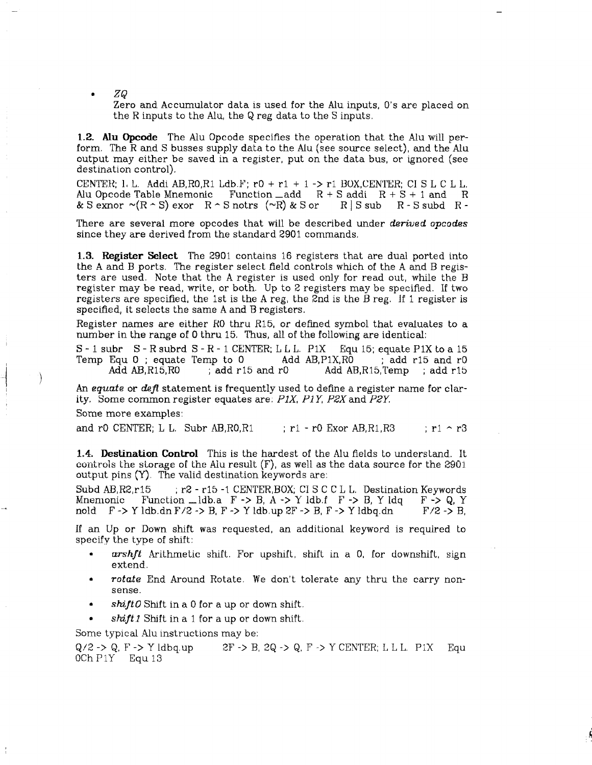*• ZQ* 

Zero and Accumulator data is used for the Alu inputs, O's are placed on the R inputs to the Alu, the Q reg data to the S inputs.

**1.2. Alu Opcode** The Alu Opcode specifies the operation that the Alu will perform. The R and S busses supply data to the Alu (see source select), and the Alu output may either be saved in a register, put on the data bus, or ignored (see destination control).

CENTER;  $l, L$ . Addi AB, RO, R1 Ldb. F; rO + r1 + 1 -> r1 BOX, CENTER; CI S L C L L. Alu Opcode Table Mnemonic Function  $\_\text{add}$  R + S addi R + S + 1 and R & S exnor  $\sim$ (R  $\sim$  S) exor R  $\sim$  S notrs ( $\sim$ R) & S or R | S sub R - S subd R -& S exnor  $\sim (R \cdot S)$  exor  $R \sim S$  notrs  $(\sim R)$  & S or  $R \mid S$  sub  $R \cdot S$  subd R -

There are several more opcodes that will be described under *derived opcodes*  since they are derived from the standard 2901 commands.

**1.3. Register Select** The 2901 contains 16 registers that are dual ported into the A and B ports. The register select field controls which of the A and B registers are used. Note that the A register is used only for read out, while the B register may be read, write, or both. Up to 2 registers may be specified. If two registers are specified, the 1st is the A reg, the  $2nd$  is the B reg. If 1 register is specified, it selects the same A and B registers.

Register names are either RO thru R15, or defined symbol that evaluates to a number in the range of 0 thru 15. Thus, all of the following are identical:

 $S - 1$  subr  $S - R$  subrd  $S - R - 1$  CENTER; LLL. P1X Equ 15; equate P1X to a 15 Temp Equ 0; equate Temp to 0 4dd AB, P1X, R0 ; add r15 and r0 Add  $AB, R15, R0$  ; add r15 and r0  $A$ dd  $AB, R15, Temp$ ; add r15

An *equate* or *defl* statement is frequently used to define a register name for clarity. Some common register equates are; *P1X, P1Y, P3X*and *PSY.* 

Some more examples:

and rO CENTER; L L. Subr AB,  $R0, R1$  ; r1 - r0 Exor AB,  $R1, R3$  ; r1  $\sim$  r3

**1.4. Destination Control** This is the hardest of the Alu fields to understand. It controls the storage of the Alu result (F), as well as the data source for the 2901 output pins (Y). The valid destination keywords are:

Subd AB, R2, r15 ; r2 - r15 -1 CENTER, BOX; CI S C C L L. Destination Keywords Mnemonic Function  $\Box$ ldb.a F -> B, A -> Y ldb.f F -> B, Y ldq F -> Q, Y nold  $F \rightarrow Y$  ldb.dn  $F/Z \rightarrow B$ ,  $F \rightarrow Y$  ldb.up  $2F \rightarrow Y$  H,  $F \rightarrow Y$  ldbq.dn  $F/Z \rightarrow B$ ,

If an Up or Down shift was requested, an additional keyword is required to specify the type of shift:

- *arshft* Arithmetic shift. For upshift, shift in a 0, for downshift, sign extend.
- *rotate* End Around Rotate. We don't tolerate any thru the carry nonsense.
- *shift0* Shift in a 0 for a up or down shift.
- *shift 1* Shift in a 1 for a up or down shift.

Some typical Alu instructions may be:

 $Q/2$  ->  $Q$ ,  $F \rightarrow Y$  ldbq.up 2F -> B, 2Q -> Q, F -> Y CENTER; L L L. P1X Equ OChPlY Equ 13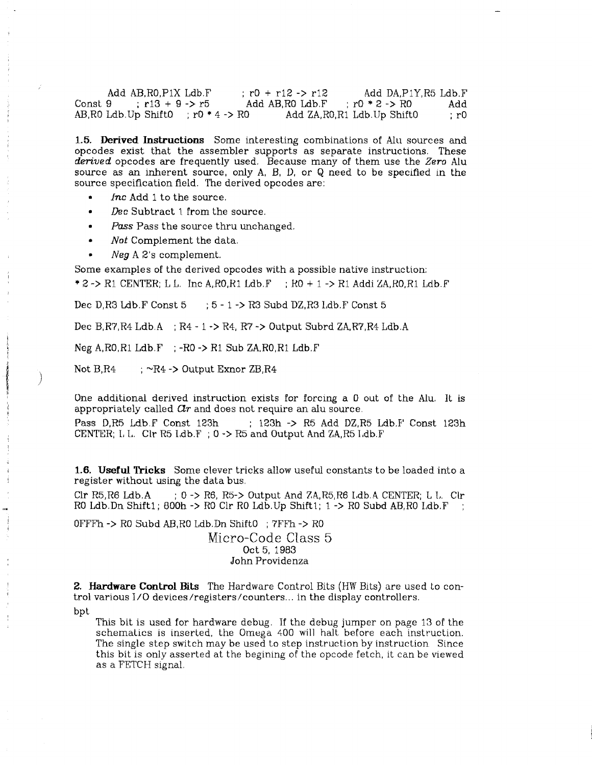| Add AB.RO.P1X Ldb.F      |  |                                                                      | $: r0 + r12 \rightarrow r12$ |                 | Add DA.P1Y.R5 Ldb.F |      |
|--------------------------|--|----------------------------------------------------------------------|------------------------------|-----------------|---------------------|------|
| Const 9 : $r13 + 9 - r5$ |  |                                                                      | Add AB.RO Ldb.F              | $r0 * 2 - > R0$ |                     | Add  |
|                          |  | AB, RO Ldb. Up Shift $0 \rightarrow r0 \rightarrow 4 \rightarrow R0$ | Add ZA, RO, R1 Ldb Up ShiftO |                 |                     | : r0 |

**1.5. Derived Instructions** Some interesting combinations of Alu sources and opcodes exist that the assembler supports as separate instructions. These *derived* opcodes are frequently used. Because many of them use the *Zero* Alu source as an inherent source, only A, B, D, or Q need to be specified in the source specification field. The derived opcodes are:

- *Inc* Add 1 to the source.
- *Dec* Subtract 1 from the source.
- *Pass* Pass the source thru unchanged.
- *Not* Complement the data.
- *Neg* A 2's complement.

Some examples of the derived opcodes with a possible native instruction:

 $* 2$  -> R1 CENTER; L L. Inc A, RO, R1 Ldb,  $F$ ; RO + 1 -> R1 Addi ZA, RO, R1 Ldb, F

Dec D,R3 Ldb.F Const  $5 \rightarrow 5 - 1 \rightarrow R3$  Subd DZ,R3 Ldb.F Const  $5$ 

Dec B,R7,R4 Ldb.A ; R4 - 1 -> R4, R7 ~> Output Subrd ZA,R7,R4 Ldb.A

Neg  $A, R0, R1$  Ldb.F ;  $-R0 \rightarrow R1$  Sub ZA,  $R0, R1$  Ldb. F

Not  $B.R4$  ;  $\sim R4$  -> Output Exnor  $ZB.R4$ 

One additional derived instruction exists for forcing a 0 out of the Alu, It is appropriately called  $\mathcal{C}tr$  and does not require an alu source.

Pass D,R5 Ldb.F Const 123h ; 123h -> R5 Add DZ,R5 Ldb.F Const 123h CENTER; L L. Clr R5 Ldb.F ; 0 -> R5 and Output And ZA, R5 Ldb.F

1.6. Useful Tricks Some clever tricks allow useful constants to be loaded into a register without using the data bus.

 $Clr$  R5,R6 Ldb.A ; 0 -> R6, R5-> Output And ZA,R5,R6 Ldb.A CENTER; L I. Clr RO Ldb.Dn Shift1;  $800h \rightarrow R0$  Clr RO Ldb.Up Shift1;  $1 \rightarrow R0$  Subd AB, RO Ldb.F

OFFFh -> RO Subd AB,R0 Ldb.Dn ShiftO ; 7FFh -> RO Micro-Code Class 5 Oct 5, 1983 John Providenza

**2. Hardware Control Bits** The Hardware Control Bits (HW Bits) are used to control various I/O devices/registers/counters... in the display controllers.

bpt

This bit is used for hardware debug. If the debug jumper on page 13 of the schematics is inserted, the Omega 400 will halt before each instruction. The single step switch may be used to step instruction by instruction Since this bit is only asserted at the begining of the opcode fetch, it can be viewed as a FETCH signal.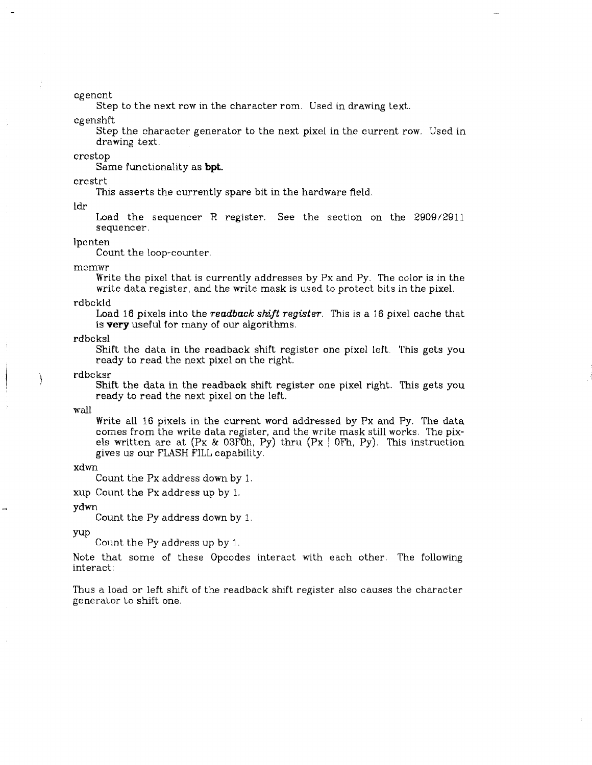cgencnt

Step to the next row in the character rom. Used in drawing text,

cgenshft

Step the character generator to the next pixel in the current row, Used in drawing text,

erestop

Same functionality as **bpt.** 

crcstrt

This asserts the currently spare bit in the hardware field.

ldr

Load the sequencer R register. See the section on the 2909/2911 sequencer,

lpcnten

Count the loop-counter.

memwr

Write the pixel that is currently addresses by Px and Py. The color is in the write data register, and the write mask is used to protect bits in the pixel.

rdbckld

Load 16 pixels into the *readback shift register.* This is a 16 pixel cache that is **very** useful for many of our algorithms.

rdbcksl

Shift the data in the readback shift register one pixel left. This gets you ready to read the next pixel on the right.

rdbcksr

Shift the data in the readback shift register one pixel right. This gets you ready to read the next pixel on the left.

•wall

Write all 16 pixels in the current word addressed by Px and Py. The data comes from the write data register, and the write mask still works. The pixels written are at  $(Px \& 03F0h, Py)$  thru  $(Px | 0Fh, Py)$ . This instruction gives us our FLASH FILL capability.

xdwn

Count the Px address down by 1,

xup Count the Px address up by 1.

ydwn

Count the Py address down by 1.

yup

Count the Py address up by 1,

Note that some of these Opcodes interact with each other. The following interact:

Thus a load or left shift of the readback shift register also causes the character generator to shift one.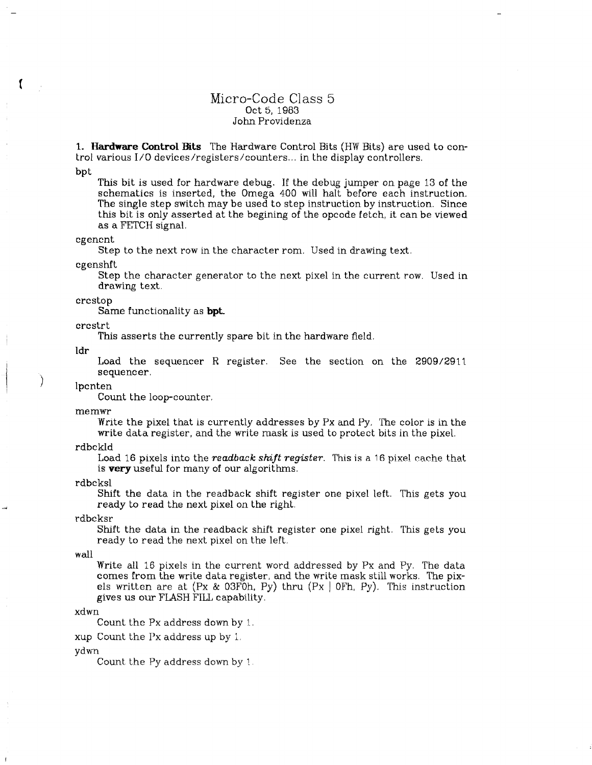## Micro-Code Class 5 Oct 5, 1983 John Providenza

**1- Hardware Control Bits** The Hardware Control Bits (HW Bits) are used to control various I/O devices/registers/counters... in the display controllers.

bpt

 $\mathbf f$ 

This bit is used for hardware debug. If the debug jumper on page 13 of the schematics is inserted, the Omega 400 will halt before each instruction. The single step switch may be used to step instruction by instruction. Since this bit is only asserted at the begining of the opcode fetch, it can be viewed as a FETCH signal.

### cgencnt

Step to the next row in the character rom. Used in drawing text,

cgenshft

Step the character generator to the next pixel in the current row. Used in drawing text.

crcstop

Same functionality as **bpt.** 

crcstrt

This asserts the currently spare bit in the hardware field.

Idr

Load the sequencer R register. See the section on the 2909/2911 sequencer,

lpcnten

Count the loop-counter.

memwr

Write the pixel that is currently addresses by Px and Py.. The color is in the write data register, and the write mask is used to protect bits in the pixel.

rdbckld

Load 16 pixels into the *readback shift register.* This is a 16 pixel cache that is **very** useful for many of our algorithms.

rdbcksl

Shift the data in the readback shift register one pixel left. This gets you ready to read the next pixel on the right.

rdbcksr

Shift the data in the readback shift register one pixel right. This gets you ready to read the next pixel on the left.

wall

Write all 16 pixels in the current word addressed by Px and Py. The data comes from the write data register, and the write mask still works. The pixels written are at  $(Px \& 03F0h, Py)$  thru  $(Px \mid 0Fh, Py)$ . This instruction gives us our FLASH FILL capability.

#### xdwn

Count the Px address down by

xup Count the Px address up by 1,

ydwn

Count the Py address down by 1.